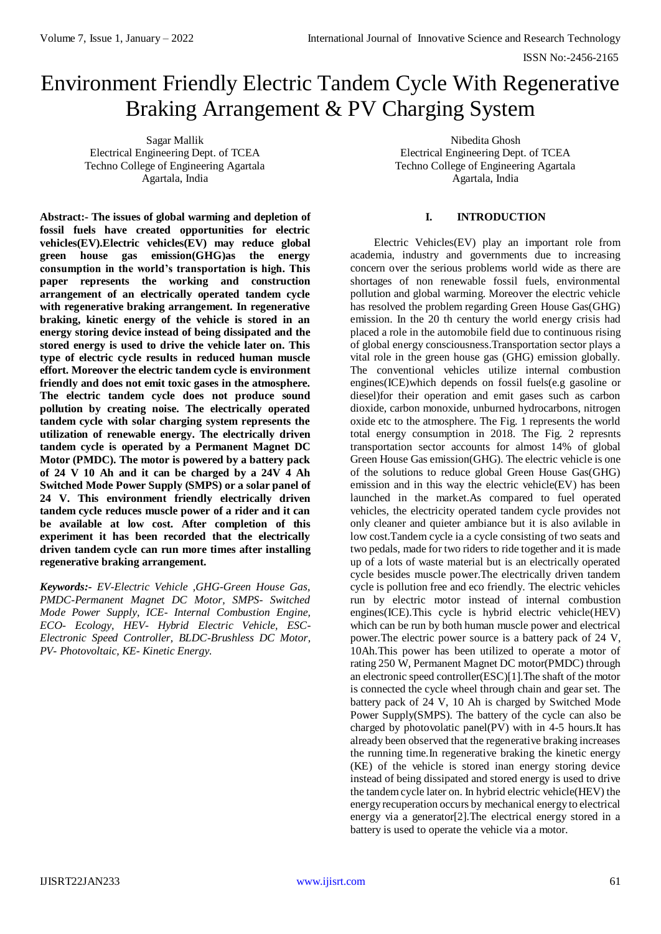# Environment Friendly Electric Tandem Cycle With Regenerative Braking Arrangement & PV Charging System

Sagar Mallik Electrical Engineering Dept. of TCEA Techno College of Engineering Agartala Agartala, India

**Abstract:- The issues of global warming and depletion of fossil fuels have created opportunities for electric vehicles(EV).Electric vehicles(EV) may reduce global green house gas emission(GHG)as the energy consumption in the world's transportation is high. This paper represents the working and construction arrangement of an electrically operated tandem cycle with regenerative braking arrangement. In regenerative braking, kinetic energy of the vehicle is stored in an energy storing device instead of being dissipated and the stored energy is used to drive the vehicle later on. This type of electric cycle results in reduced human muscle effort. Moreover the electric tandem cycle is environment friendly and does not emit toxic gases in the atmosphere. The electric tandem cycle does not produce sound pollution by creating noise. The electrically operated tandem cycle with solar charging system represents the utilization of renewable energy. The electrically driven tandem cycle is operated by a Permanent Magnet DC Motor (PMDC). The motor is powered by a battery pack of 24 V 10 Ah and it can be charged by a 24V 4 Ah Switched Mode Power Supply (SMPS) or a solar panel of 24 V. This environment friendly electrically driven tandem cycle reduces muscle power of a rider and it can be available at low cost. After completion of this experiment it has been recorded that the electrically driven tandem cycle can run more times after installing regenerative braking arrangement.** 

*Keywords:- EV-Electric Vehicle ,GHG-Green House Gas, PMDC-Permanent Magnet DC Motor, SMPS- Switched Mode Power Supply, ICE- Internal Combustion Engine, ECO- Ecology, HEV- Hybrid Electric Vehicle, ESC-Electronic Speed Controller, BLDC-Brushless DC Motor, PV- Photovoltaic, KE- Kinetic Energy.*

Nibedita Ghosh Electrical Engineering Dept. of TCEA Techno College of Engineering Agartala Agartala, India

#### **I. INTRODUCTION**

Electric Vehicles(EV) play an important role from academia, industry and governments due to increasing concern over the serious problems world wide as there are shortages of non renewable fossil fuels, environmental pollution and global warming. Moreover the electric vehicle has resolved the problem regarding Green House Gas(GHG) emission. In the 20 th century the world energy crisis had placed a role in the automobile field due to continuous rising of global energy consciousness.Transportation sector plays a vital role in the green house gas (GHG) emission globally. The conventional vehicles utilize internal combustion engines(ICE)which depends on fossil fuels(e.g gasoline or diesel)for their operation and emit gases such as carbon dioxide, carbon monoxide, unburned hydrocarbons, nitrogen oxide etc to the atmosphere. The Fig. 1 represents the world total energy consumption in 2018. The Fig. 2 represnts transportation sector accounts for almost 14% of global Green House Gas emission(GHG). The electric vehicle is one of the solutions to reduce global Green House Gas(GHG) emission and in this way the electric vehicle(EV) has been launched in the market.As compared to fuel operated vehicles, the electricity operated tandem cycle provides not only cleaner and quieter ambiance but it is also avilable in low cost.Tandem cycle ia a cycle consisting of two seats and two pedals, made for two riders to ride together and it is made up of a lots of waste material but is an electrically operated cycle besides muscle power.The electrically driven tandem cycle is pollution free and eco friendly. The electric vehicles run by electric motor instead of internal combustion engines(ICE).This cycle is hybrid electric vehicle(HEV) which can be run by both human muscle power and electrical power.The electric power source is a battery pack of 24 V, 10Ah.This power has been utilized to operate a motor of rating 250 W, Permanent Magnet DC motor(PMDC) through an electronic speed controller(ESC)[1].The shaft of the motor is connected the cycle wheel through chain and gear set. The battery pack of 24 V, 10 Ah is charged by Switched Mode Power Supply(SMPS). The battery of the cycle can also be charged by photovolatic panel(PV) with in 4-5 hours.It has already been observed that the regenerative braking increases the running time.In regenerative braking the kinetic energy (KE) of the vehicle is stored inan energy storing device instead of being dissipated and stored energy is used to drive the tandem cycle later on. In hybrid electric vehicle(HEV) the energy recuperation occurs by mechanical energy to electrical energy via a generator[2].The electrical energy stored in a battery is used to operate the vehicle via a motor.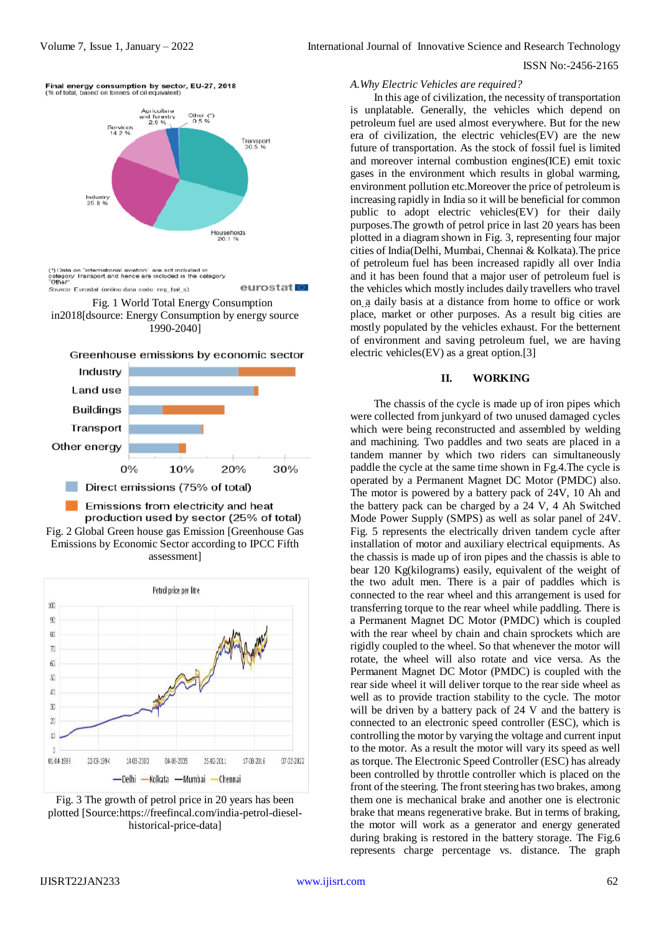## Final energy consumption by sector, EU-27, 2018<br>(% of total, based on tonnes of oil equivalent)



eurostat<sup>EN</sup> Source: Eurostat (online data code: nrg\_bal\_s)





Fig. 2 Global Green house gas Emission [Greenhouse Gas Emissions by Economic Sector according to IPCC Fifth assessment]



Fig. 3 The growth of petrol price in 20 years has been plotted [Source:https://freefincal.com/india-petrol-dieselhistorical-price-data]

#### *A.Why Electric Vehicles are required?*

In this age of civilization, the necessity of transportation is unplatable. Generally, the vehicles which depend on petroleum fuel are used almost everywhere. But for the new era of civilization, the electric vehicles(EV) are the new future of transportation. As the stock of fossil fuel is limited and moreover internal combustion engines(ICE) emit toxic gases in the environment which results in global warming, environment pollution etc.Moreover the price of petroleum is increasing rapidly in India so it will be beneficial for common public to adopt electric vehicles(EV) for their daily purposes.The growth of petrol price in last 20 years has been plotted in a diagram shown in Fig. 3, representing four major cities of India(Delhi, Mumbai, Chennai & Kolkata).The price of petroleum fuel has been increased rapidly all over India and it has been found that a major user of petroleum fuel is the vehicles which mostly includes daily travellers who travel on a daily basis at a distance from home to office or work place, market or other purposes. As a result big cities are mostly populated by the vehicles exhaust. For the betternent of environment and saving petroleum fuel, we are having electric vehicles(EV) as a great option.[3]

## **II. WORKING**

The chassis of the cycle is made up of iron pipes which were collected from junkyard of two unused damaged cycles which were being reconstructed and assembled by welding and machining. Two paddles and two seats are placed in a tandem manner by which two riders can simultaneously paddle the cycle at the same time shown in Fg.4.The cycle is operated by a Permanent Magnet DC Motor (PMDC) also. The motor is powered by a battery pack of 24V, 10 Ah and the battery pack can be charged by a 24 V, 4 Ah Switched Mode Power Supply (SMPS) as well as solar panel of 24V. Fig. 5 represents the electrically driven tandem cycle after installation of motor and auxiliary electrical equipments. As the chassis is made up of iron pipes and the chassis is able to bear 120 Kg(kilograms) easily, equivalent of the weight of the two adult men. There is a pair of paddles which is connected to the rear wheel and this arrangement is used for transferring torque to the rear wheel while paddling. There is a Permanent Magnet DC Motor (PMDC) which is coupled with the rear wheel by chain and chain sprockets which are rigidly coupled to the wheel. So that whenever the motor will rotate, the wheel will also rotate and vice versa. As the Permanent Magnet DC Motor (PMDC) is coupled with the rear side wheel it will deliver torque to the rear side wheel as well as to provide traction stability to the cycle. The motor will be driven by a battery pack of 24 V and the battery is connected to an electronic speed controller (ESC), which is controlling the motor by varying the voltage and current input to the motor. As a result the motor will vary its speed as well as torque. The Electronic Speed Controller (ESC) has already been controlled by throttle controller which is placed on the front of the steering. The front steering has two brakes, among them one is mechanical brake and another one is electronic brake that means regenerative brake. But in terms of braking, the motor will work as a generator and energy generated during braking is restored in the battery storage. The Fig.6 represents charge percentage vs. distance. The graph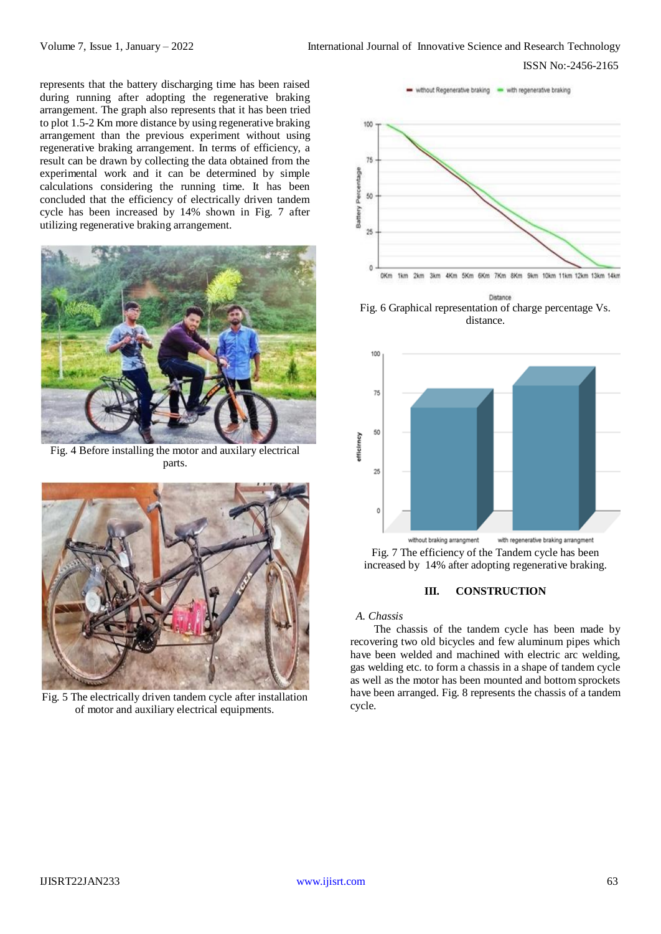represents that the battery discharging time has been raised during running after adopting the regenerative braking arrangement. The graph also represents that it has been tried to plot 1.5-2 Km more distance by using regenerative braking arrangement than the previous experiment without using regenerative braking arrangement. In terms of efficiency, a result can be drawn by collecting the data obtained from the experimental work and it can be determined by simple calculations considering the running time. It has been concluded that the efficiency of electrically driven tandem cycle has been increased by 14% shown in Fig. 7 after utilizing regenerative braking arrangement.



Fig. 4 Before installing the motor and auxilary electrical parts.



Fig. 5 The electrically driven tandem cycle after installation of motor and auxiliary electrical equipments.



Distance Fig. 6 Graphical representation of charge percentage Vs. distance.



Fig. 7 The efficiency of the Tandem cycle has been increased by 14% after adopting regenerative braking.

#### **III. CONSTRUCTION**

#### *A. Chassis*

The chassis of the tandem cycle has been made by recovering two old bicycles and few aluminum pipes which have been welded and machined with electric arc welding, gas welding etc. to form a chassis in a shape of tandem cycle as well as the motor has been mounted and bottom sprockets have been arranged. Fig. 8 represents the chassis of a tandem cycle.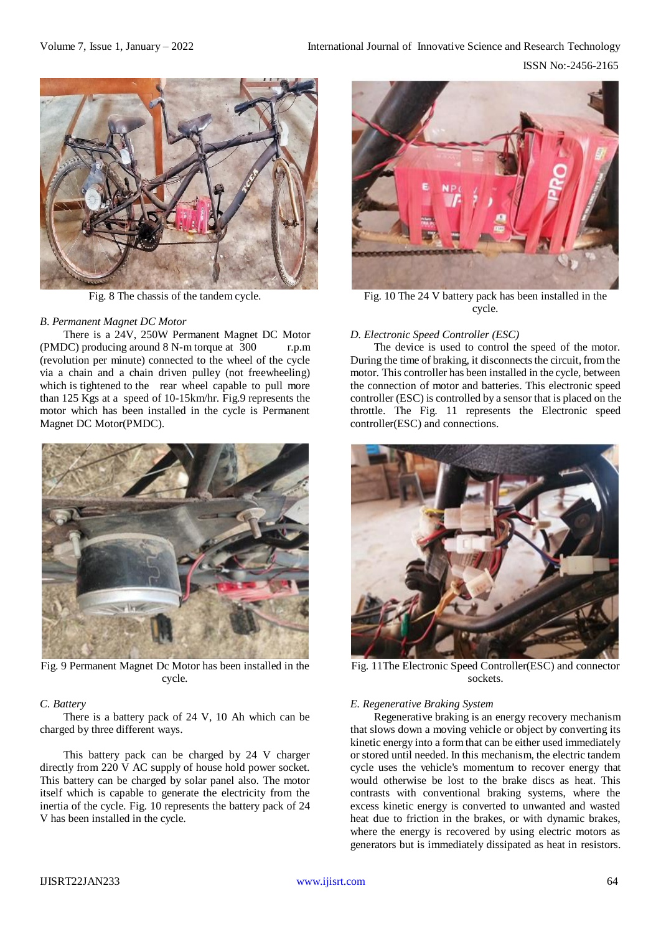

Fig. 8 The chassis of the tandem cycle.

## *B*. *Permanent Magnet DC Motor*

There is a 24V, 250W Permanent Magnet DC Motor (PMDC) producing around 8 N-m torque at 300 r.p.m (revolution per minute) connected to the wheel of the cycle via a chain and a chain driven pulley (not freewheeling) which is tightened to the rear wheel capable to pull more than 125 Kgs at a speed of 10-15km/hr. Fig.9 represents the motor which has been installed in the cycle is Permanent Magnet DC Motor(PMDC).



Fig. 9 Permanent Magnet Dc Motor has been installed in the cycle.

#### *C. Battery*

There is a battery pack of 24 V, 10 Ah which can be charged by three different ways.

This battery pack can be charged by 24 V charger directly from 220 V AC supply of house hold power socket. This battery can be charged by solar panel also. The motor itself which is capable to generate the electricity from the inertia of the cycle. Fig. 10 represents the battery pack of 24 V has been installed in the cycle.



Fig. 10 The 24 V battery pack has been installed in the cycle.

### *D. Electronic Speed Controller (ESC)*

The device is used to control the speed of the motor. During the time of braking, it disconnects the circuit, from the motor. This controller has been installed in the cycle, between the connection of motor and batteries. This electronic speed controller (ESC) is controlled by a sensor that is placed on the throttle. The Fig. 11 represents the Electronic speed controller(ESC) and connections.



Fig. 11The Electronic Speed Controller(ESC) and connector sockets.

#### *E. Regenerative Braking System*

Regenerative braking is an [energy recovery](https://en.wikipedia.org/wiki/Energy_recovery) mechanism that slows down a moving vehicle or object by converting its [kinetic energy](https://en.wikipedia.org/wiki/Kinetic_energy) into a form that can be either used immediately or stored until needed. In this mechanism, the electric tandem cycle uses the vehicle's momentum to recover energy that would otherwise be lost to the brake discs as heat. This contrasts with conventional braking systems, where the excess kinetic energy is converted to unwanted and wasted heat due to friction in the [brakes,](https://en.wikipedia.org/wiki/Brake) or with [dynamic brakes,](https://en.wikipedia.org/wiki/Dynamic_brake) where the energy is recovered by using electric motors as generators but is immediately dissipated as heat in [resistors.](https://en.wikipedia.org/wiki/Resistors)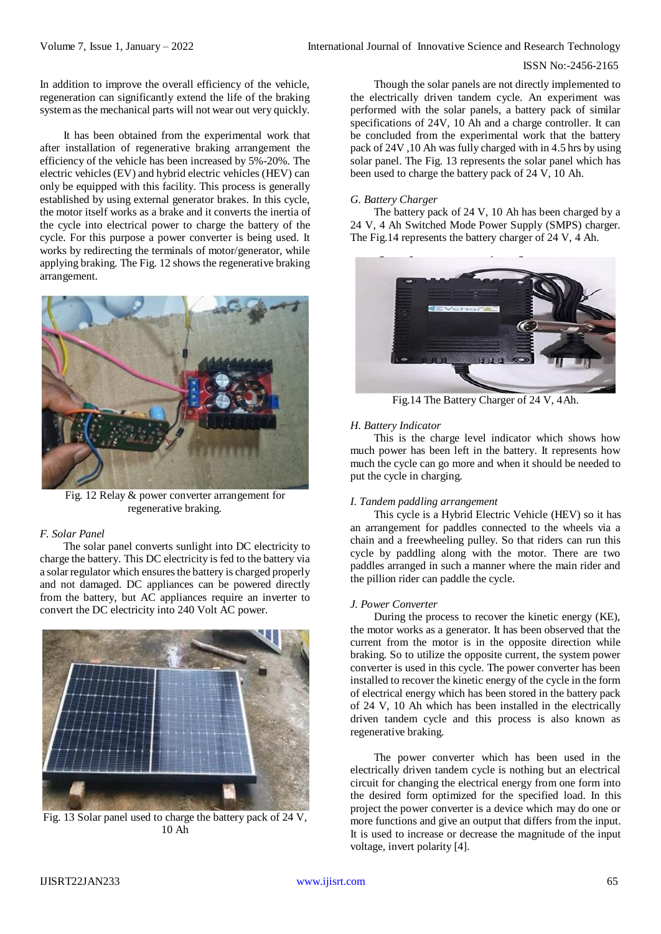In addition to improve the overall efficiency of the vehicle, regeneration can significantly extend the life of the braking system as the mechanical parts will not wear out very quickly.

It has been obtained from the experimental work that after installation of regenerative braking arrangement the efficiency of the vehicle has been increased by 5%-20%. The electric vehicles (EV) and hybrid electric vehicles (HEV) can only be equipped with this facility. This process is generally established by using external generator brakes. In this cycle, the motor itself works as a brake and it converts the inertia of the cycle into electrical power to charge the battery of the cycle. For this purpose a power converter is being used. It works by redirecting the terminals of motor/generator, while applying braking. The Fig. 12 shows the regenerative braking arrangement.



Fig. 12 Relay & power converter arrangement for regenerative braking.

## *F. Solar Panel*

The solar panel converts sunlight into DC electricity to charge the battery. This DC electricity is fed to the battery via a solar regulator which ensures the battery is charged properly and not damaged. DC appliances can be powered directly from the battery, but AC appliances require an inverter to convert the DC electricity into 240 Volt AC power.



Fig. 13 Solar panel used to charge the battery pack of 24 V, 10 Ah

Though the solar panels are not directly implemented to the electrically driven tandem cycle. An experiment was performed with the solar panels, a battery pack of similar specifications of 24V, 10 Ah and a charge controller. It can be concluded from the experimental work that the battery pack of 24V ,10 Ah was fully charged with in 4.5 hrs by using solar panel. The Fig. 13 represents the solar panel which has been used to charge the battery pack of 24 V, 10 Ah.

## *G. Battery Charger*

The battery pack of 24 V, 10 Ah has been charged by a 24 V, 4 Ah Switched Mode Power Supply (SMPS) charger. The Fig.14 represents the battery charger of 24 V, 4 Ah.



Fig.14 The Battery Charger of 24 V, 4Ah.

## *H. Battery Indicator*

This is the charge level indicator which shows how much power has been left in the battery. It represents how much the cycle can go more and when it should be needed to put the cycle in charging.

## *I. Tandem paddling arrangement*

This cycle is a Hybrid Electric Vehicle (HEV) so it has an arrangement for paddles connected to the wheels via a chain and a freewheeling pulley. So that riders can run this cycle by paddling along with the motor. There are two paddles arranged in such a manner where the main rider and the pillion rider can paddle the cycle.

## *J. Power Converter*

During the process to recover the kinetic energy (KE), the motor works as a generator. It has been observed that the current from the motor is in the opposite direction while braking. So to utilize the opposite current, the system power converter is used in this cycle. The power converter has been installed to recover the kinetic energy of the cycle in the form of electrical energy which has been stored in the battery pack of 24 V, 10 Ah which has been installed in the electrically driven tandem cycle and this process is also known as regenerative braking.

The power converter which has been used in the electrically driven tandem cycle is nothing but an electrical circuit for changing the electrical energy from one form into the desired form optimized for the specified load. In this project the power converter is a device which may do one or more functions and give an output that differs from the input. It is used to increase or decrease the magnitude of the input voltage, invert polarity [4].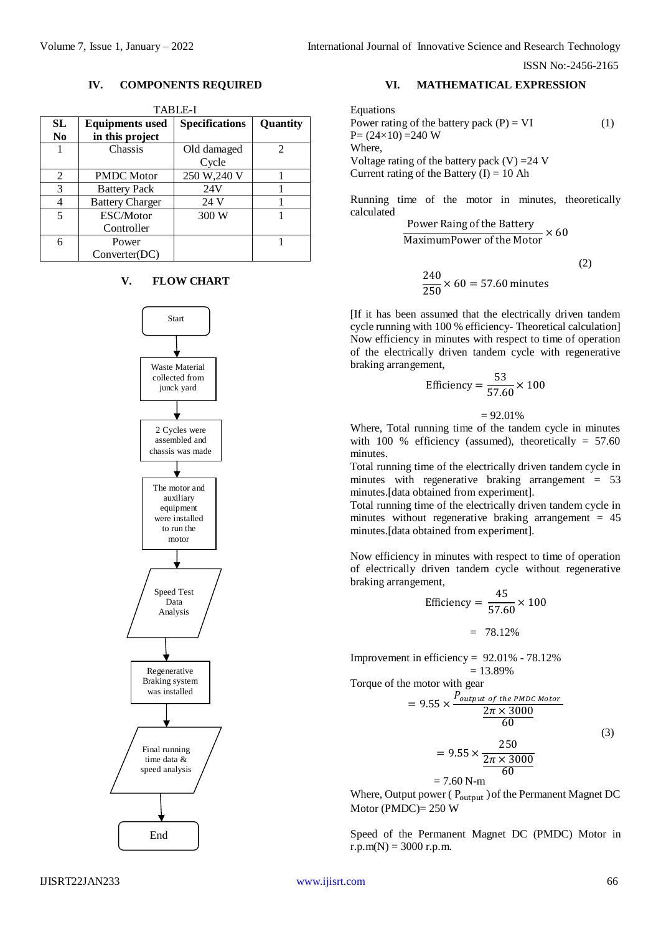#### **IV. COMPONENTS REQUIRED**

| <b>TABLE-I</b>           |                        |                       |                 |  |
|--------------------------|------------------------|-----------------------|-----------------|--|
| <b>SL</b>                | <b>Equipments used</b> | <b>Specifications</b> | <b>Ouantity</b> |  |
| N <sub>0</sub>           | in this project        |                       |                 |  |
|                          | Chassis                | Old damaged           | $\mathfrak{D}$  |  |
|                          |                        | Cycle                 |                 |  |
| 2                        | <b>PMDC</b> Motor      | 250 W, 240 V          |                 |  |
| 3                        | <b>Battery Pack</b>    | 24V                   |                 |  |
| 4                        | <b>Battery Charger</b> | 24 V                  |                 |  |
| $\overline{\phantom{1}}$ | <b>ESC/Motor</b>       | 300 W                 |                 |  |
|                          | Controller             |                       |                 |  |
| 6                        | Power                  |                       |                 |  |
|                          | Converter(DC)          |                       |                 |  |

## **V. FLOW CHART**



#### **VI. MATHEMATICAL EXPRESSION**

Equations Power rating of the battery pack  $(P) = VI$  (1)  $P = (24 \times 10) = 240$  W Where, Voltage rating of the battery pack  $(V) = 24$  V Current rating of the Battery  $(I) = 10$  Ah

Running time of the motor in minutes, theoretically calculated

> Power Raing of the Battery MaximumPower of the Motor  $\times$  60

> > (2)

$$
\frac{240}{250} \times 60 = 57.60 \text{ minutes}
$$

[If it has been assumed that the electrically driven tandem cycle running with 100 % efficiency- Theoretical calculation] Now efficiency in minutes with respect to time of operation of the electrically driven tandem cycle with regenerative braking arrangement,

Efficiency = 
$$
\frac{53}{57.60} \times 100
$$

 $= 92.01%$ 

Where, Total running time of the tandem cycle in minutes with 100 % efficiency (assumed), theoretically  $= 57.60$ minutes.

Total running time of the electrically driven tandem cycle in minutes with regenerative braking arrangement = 53 minutes.[data obtained from experiment].

Total running time of the electrically driven tandem cycle in minutes without regenerative braking arrangement  $= 45$ minutes.[data obtained from experiment].

Now efficiency in minutes with respect to time of operation of electrically driven tandem cycle without regenerative braking arrangement,

Efficiency = 
$$
\frac{45}{57.60} \times 100
$$

$$
= 78.12\%
$$

Improvement in efficiency = 92.01% - 78.12%  $= 13.89\%$ 

Torque of the motor with gear

$$
= 9.55 \times \frac{P_{output\ of\ the\ PMDC\ Motor}}{2\pi \times 3000}
$$
  
60 (3)

$$
= 9.55 \times \frac{250}{\frac{2\pi \times 3000}{60}}
$$

$$
= 7.60 \text{ N-m}
$$

Where, Output power ( $P_{\text{output}}$ ) of the Permanent Magnet DC Motor (PMDC)= 250 W

Speed of the Permanent Magnet DC (PMDC) Motor in  $r.p.m(N) = 3000 r.p.m.$